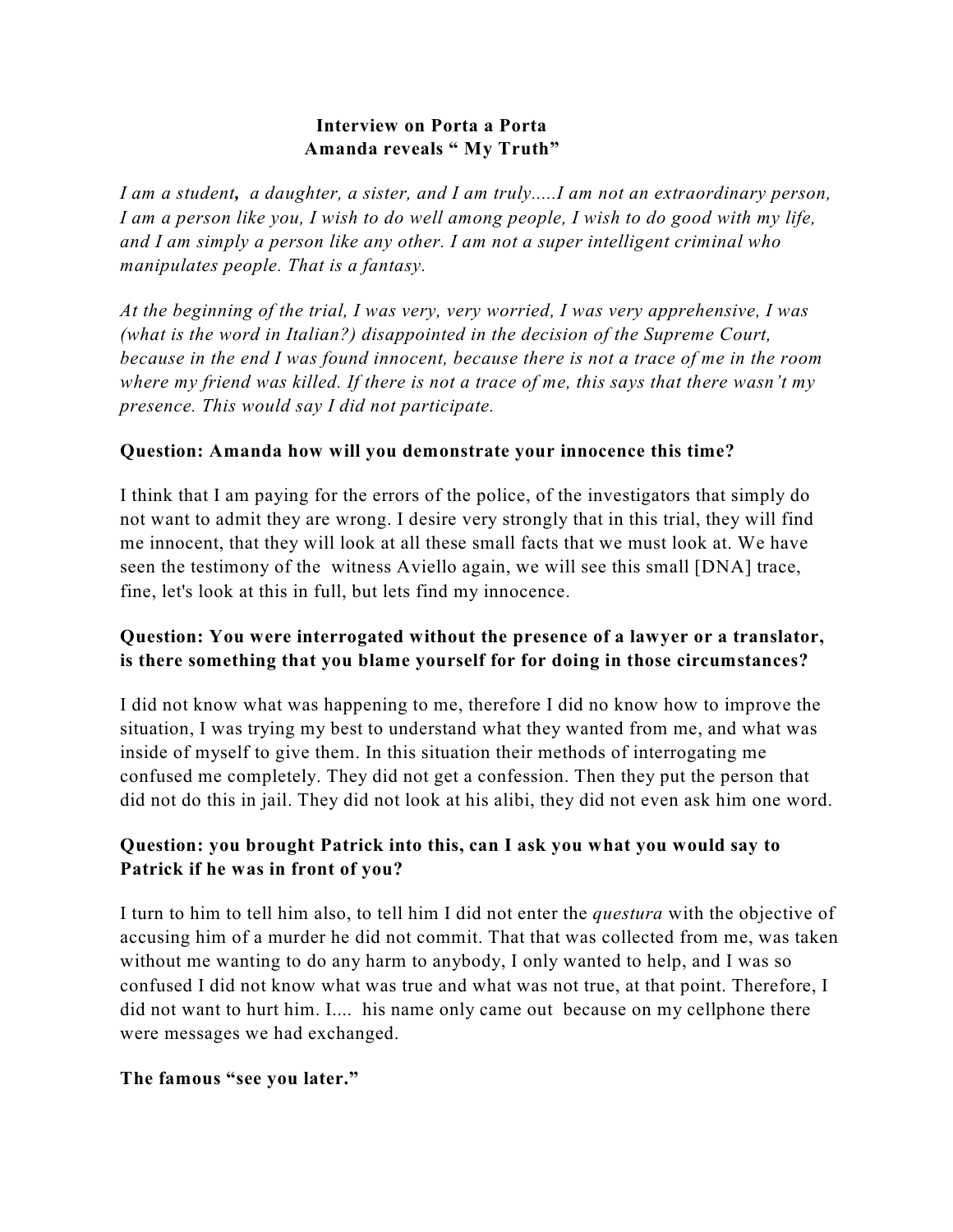## **Interview on Porta a Porta Amanda reveals " My Truth"**

*I am a student, a daughter, a sister, and I am truly.....I am not an extraordinary person, I am a person like you, I wish to do well among people, I wish to do good with my life, and I am simply a person like any other. I am not a super intelligent criminal who manipulates people. That is a fantasy.*

*At the beginning of the trial, I was very, very worried, I was very apprehensive, I was (what is the word in Italian?) disappointed in the decision of the Supreme Court, because in the end I was found innocent, because there is not a trace of me in the room where my friend was killed. If there is not a trace of me, this says that there wasn't my presence. This would say I did not participate.*

### **Question: Amanda how will you demonstrate your innocence this time?**

I think that I am paying for the errors of the police, of the investigators that simply do not want to admit they are wrong. I desire very strongly that in this trial, they will find me innocent, that they will look at all these small facts that we must look at. We have seen the testimony of the witness Aviello again, we will see this small [DNA] trace, fine, let's look at this in full, but lets find my innocence.

## **Question: You were interrogated without the presence of a lawyer or a translator, is there something that you blame yourself for for doing in those circumstances?**

I did not know what was happening to me, therefore I did no know how to improve the situation, I was trying my best to understand what they wanted from me, and what was inside of myself to give them. In this situation their methods of interrogating me confused me completely. They did not get a confession. Then they put the person that did not do this in jail. They did not look at his alibi, they did not even ask him one word.

## **Question: you brought Patrick into this, can I ask you what you would say to Patrick if he was in front of you?**

I turn to him to tell him also, to tell him I did not enter the *questura* with the objective of accusing him of a murder he did not commit. That that was collected from me, was taken without me wanting to do any harm to anybody, I only wanted to help, and I was so confused I did not know what was true and what was not true, at that point. Therefore, I did not want to hurt him. I.... his name only came out because on my cellphone there were messages we had exchanged.

### **The famous "see you later."**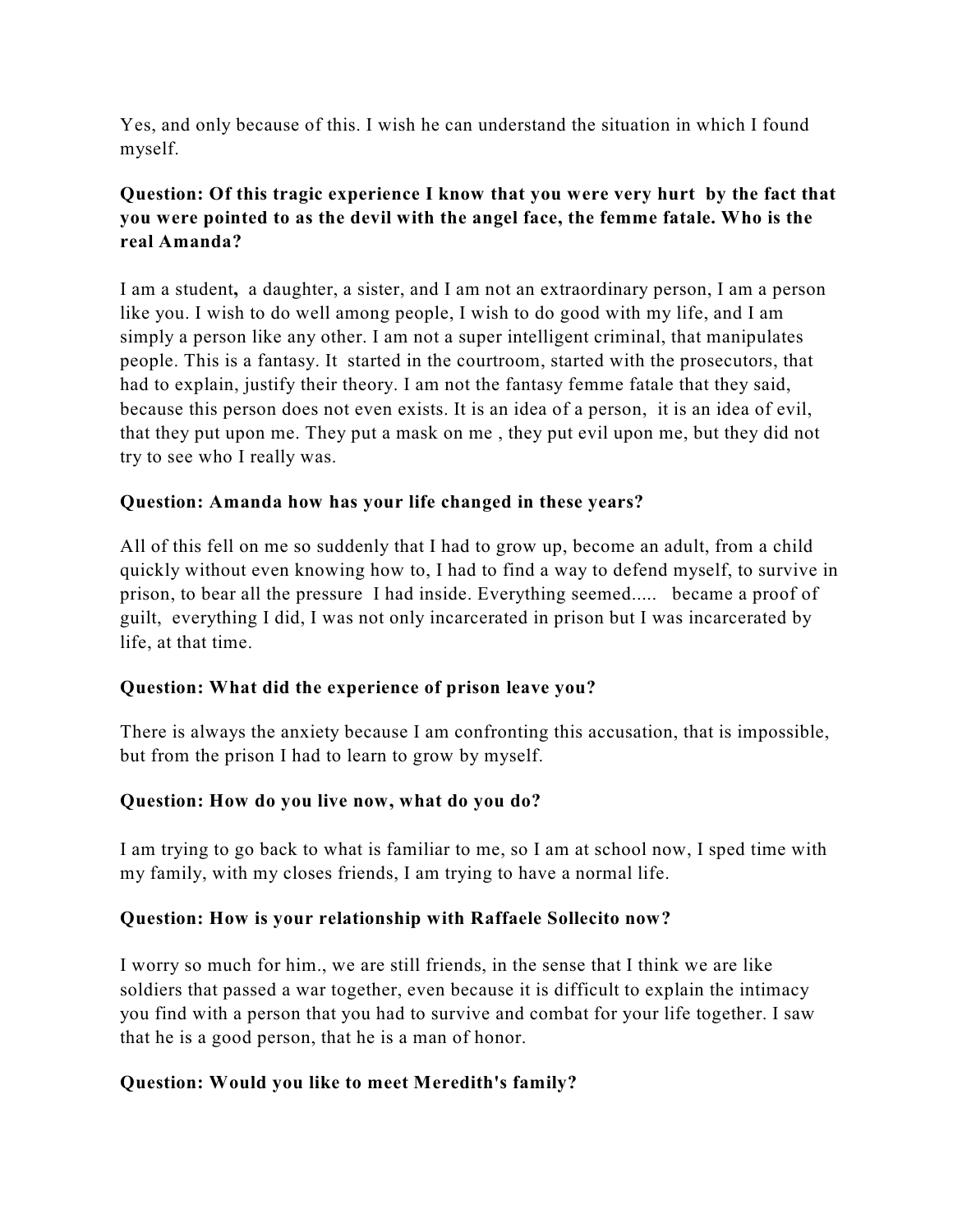Yes, and only because of this. I wish he can understand the situation in which I found myself.

# **Question: Of this tragic experience I know that you were very hurt by the fact that you were pointed to as the devil with the angel face, the femme fatale. Who is the real Amanda?**

I am a student**,** a daughter, a sister, and I am not an extraordinary person, I am a person like you. I wish to do well among people, I wish to do good with my life, and I am simply a person like any other. I am not a super intelligent criminal, that manipulates people. This is a fantasy. It started in the courtroom, started with the prosecutors, that had to explain, justify their theory. I am not the fantasy femme fatale that they said, because this person does not even exists. It is an idea of a person, it is an idea of evil, that they put upon me. They put a mask on me , they put evil upon me, but they did not try to see who I really was.

## **Question: Amanda how has your life changed in these years?**

All of this fell on me so suddenly that I had to grow up, become an adult, from a child quickly without even knowing how to, I had to find a way to defend myself, to survive in prison, to bear all the pressure I had inside. Everything seemed..... became a proof of guilt, everything I did, I was not only incarcerated in prison but I was incarcerated by life, at that time.

### **Question: What did the experience of prison leave you?**

There is always the anxiety because I am confronting this accusation, that is impossible, but from the prison I had to learn to grow by myself.

### **Question: How do you live now, what do you do?**

I am trying to go back to what is familiar to me, so I am at school now, I sped time with my family, with my closes friends, I am trying to have a normal life.

### **Question: How is your relationship with Raffaele Sollecito now?**

I worry so much for him., we are still friends, in the sense that I think we are like soldiers that passed a war together, even because it is difficult to explain the intimacy you find with a person that you had to survive and combat for your life together. I saw that he is a good person, that he is a man of honor.

### **Question: Would you like to meet Meredith's family?**